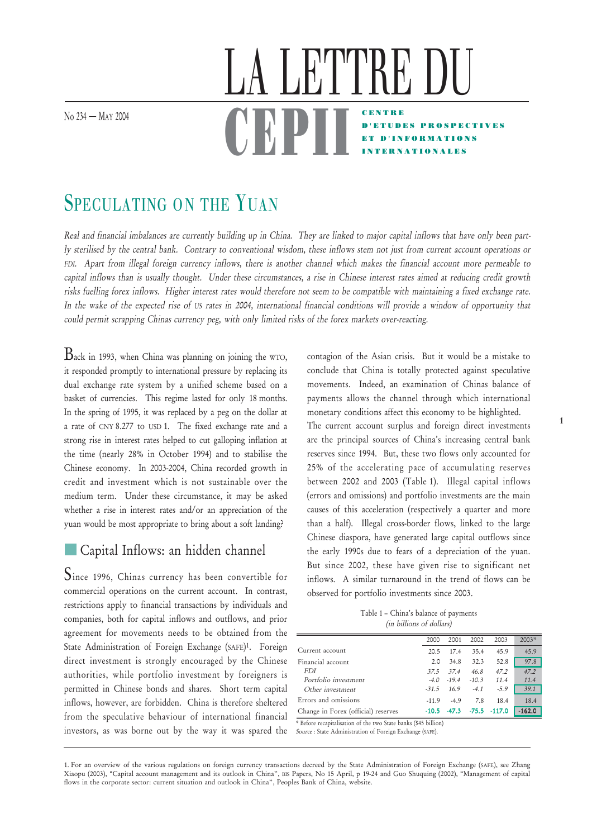No 234 – M<sub>AY</sub> 2004

## CENTRE D'ETUDES PROSPECTIVES ET D'INFORMATIONS INTERNATIONALES LA LETTRE DU <u>UDFII</u>

# SPECULATING ON THE YUAN

Real and financial imbalances are currently building up in China. They are linked to major capital inflows that have only been partly sterilised by the central bank. Contrary to conventional wisdom, these inflows stem not just from current account operations or FDI. Apart from illegal foreign currency inflows, there is another channel which makes the financial account more permeable to capital inflows than is usually thought. Under these circumstances, a rise in Chinese interest rates aimed at reducing credit growth risks fuelling forex inflows. Higher interest rates would therefore not seem to be compatible with maintaining a fixed exchange rate. In the wake of the expected rise of US rates in 2004, international financial conditions will provide a window of opportunity that could permit scrapping Chinas currency peg, with only limited risks of the forex markets over-reacting.

 $B$ ack in 1993, when China was planning on joining the WTO, it responded promptly to international pressure by replacing its dual exchange rate system by a unified scheme based on a basket of currencies. This regime lasted for only 18 months. In the spring of 1995, it was replaced by a peg on the dollar at a rate of CNY 8.277 to USD 1. The fixed exchange rate and a strong rise in interest rates helped to cut galloping inflation at the time (nearly 28% in October 1994) and to stabilise the Chinese economy. In 2003-2004, China recorded growth in credit and investment which is not sustainable over the medium term. Under these circumstance, it may be asked whether a rise in interest rates and/or an appreciation of the yuan would be most appropriate to bring about a soft landing?

## Capital Inflows: an hidden channel

Since 1996, Chinas currency has been convertible for commercial operations on the current account. In contrast, restrictions apply to financial transactions by individuals and companies, both for capital inflows and outflows, and prior agreement for movements needs to be obtained from the State Administration of Foreign Exchange (SAFE)1. Foreign direct investment is strongly encouraged by the Chinese authorities, while portfolio investment by foreigners is permitted in Chinese bonds and shares. Short term capital inflows, however, are forbidden. China is therefore sheltered from the speculative behaviour of international financial Before recapitalisation of the two State banks (\$45 billion)<br>investors, as was borne out by the way it was spared the *Source* :State Administration of Foreign Exchange (SAFE).

contagion of the Asian crisis. But it would be a mistake to conclude that China is totally protected against speculative movements. Indeed, an examination of Chinas balance of payments allows the channel through which international monetary conditions affect this economy to be highlighted.

The current account surplus and foreign direct investments are the principal sources of China's increasing central bank reserves since 1994. But, these two flows only accounted for 25% of the accelerating pace of accumulating reserves between 2002 and 2003 (Table 1). Illegal capital inflows (errors and omissions) and portfolio investments are the main causes of this acceleration (respectively a quarter and more than a half). Illegal cross-border flows, linked to the large Chinese diaspora, have generated large capital outflows since the early 1990s due to fears of a depreciation of the yuan. But since 2002, these have given rise to significant net inflows. A similar turnaround in the trend of flows can be observed for portfolio investments since 2003.

Table 1 – China's balance of payments (in billions of dollars)

|                                                             | 2000    | 2001           | 2002    | 2003           | $2003*$  |  |  |
|-------------------------------------------------------------|---------|----------------|---------|----------------|----------|--|--|
| Current account                                             | 20.5    | 174            | 35.4    | 45.9           | 45.9     |  |  |
| Financial account                                           | 2.0     | 34.8           | 32.3    | 52.8           | 97.8     |  |  |
| <b>FDI</b>                                                  | 375     | 374            | 46.8    | 47.2           | 47.2     |  |  |
| Portfolio investment                                        | $-4.0$  | $-194$         | $-10.3$ | 11.4           | 11.4     |  |  |
| Other investment                                            | $-31.5$ | 16.9           | $-4.1$  | $-5.9$         | 39.1     |  |  |
| Errors and omissions                                        | $-119$  | $-4.9$         | 7.8     | 18.4           | 18.4     |  |  |
| Change in Forex (official) reserves                         |         | $-10.5 - 47.3$ |         | $-75.5 -117.0$ | $-162.0$ |  |  |
| * Refere recepitation of the two State banks (\$45 billion) |         |                |         |                |          |  |  |

Source : State Administration of Foreign Exchange (SAFE).

1. For an overview of the various regulations on foreign currency transactions decreed by the State Administration of Foreign Exchange (SAFE), see Zhang Xiaopu (2003), "Capital account management and its outlook in China", BIS Papers, No 15 April, p 19-24 and Guo Shuquing (2002), "Management of capital flows in the corporate sector: current situation and outlook in China", Peoples Bank of China, website.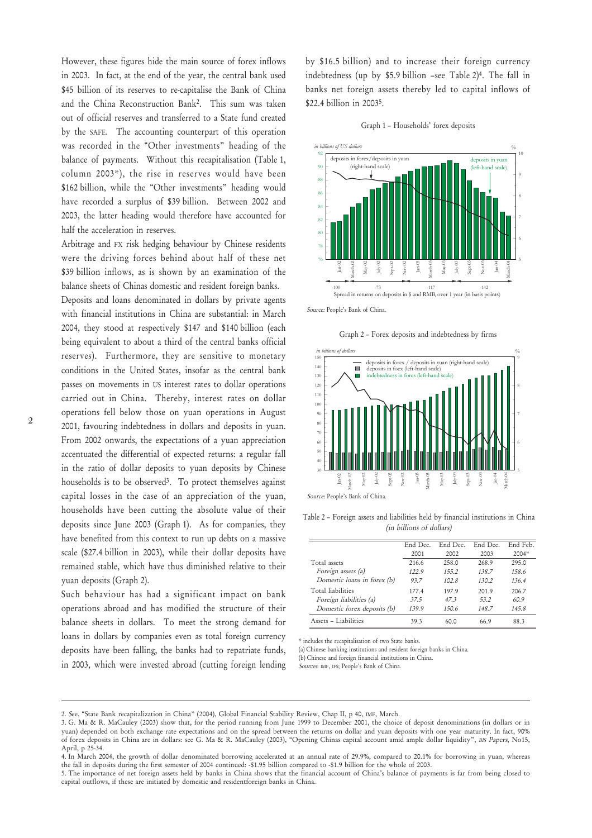However, these figures hide the main source of forex inflows in 2003. In fact, at the end of the year, the central bank used \$45 billion of its reserves to re-capitalise the Bank of China and the China Reconstruction Bank2. This sum was taken out of official reserves and transferred to a State fund created by the SAFE. The accounting counterpart of this operation was recorded in the "Other investments" heading of the balance of payments. Without this recapitalisation (Table 1, column 2003\*), the rise in reserves would have been \$162 billion, while the "Other investments" heading would have recorded a surplus of \$39 billion. Between 2002 and 2003, the latter heading would therefore have accounted for half the acceleration in reserves.

Arbitrage and FX risk hedging behaviour by Chinese residents were the driving forces behind about half of these net \$39 billion inflows, as is shown by an examination of the balance sheets of Chinas domestic and resident foreign banks.

Deposits and loans denominated in dollars by private agents with financial institutions in China are substantial: in March 2004, they stood at respectively \$147 and \$140 billion (each being equivalent to about a third of the central banks official reserves). Furthermore, they are sensitive to monetary conditions in the United States, insofar as the central bank passes on movements in US interest rates to dollar operations carried out in China. Thereby, interest rates on dollar operations fell below those on yuan operations in August 2001, favouring indebtedness in dollars and deposits in yuan. From 2002 onwards, the expectations of a yuan appreciation accentuated the differential of expected returns: a regular fall in the ratio of dollar deposits to yuan deposits by Chinese households is to be observed<sup>3</sup>. To protect themselves against capital losses in the case of an appreciation of the yuan, households have been cutting the absolute value of their deposits since June 2003 (Graph 1). As for companies, they have benefited from this context to run up debts on a massive scale (\$27.4 billion in 2003), while their dollar deposits have remained stable, which have thus diminished relative to their yuan deposits (Graph 2).

Such behaviour has had a significant impact on bank operations abroad and has modified the structure of their balance sheets in dollars. To meet the strong demand for loans in dollars by companies even as total foreign currency deposits have been falling, the banks had to repatriate funds, in 2003, which were invested abroad (cutting foreign lending by \$16.5 billion) and to increase their foreign currency indebtedness (up by \$5.9 billion –see Table 2)4. The fall in banks net foreign assets thereby led to capital inflows of \$22.4 billion in 20035.





Source: People's Bank of China.

Graph 2 – Forex deposits and indebtedness by firms



Table 2 – Foreign assets and liabilities held by financial institutions in China (in billions of dollars)

|                             | End Dec. | End Dec | End Dec. | End Feb. |
|-----------------------------|----------|---------|----------|----------|
|                             | 2001     | 2002    | 2003     | 2004*    |
| Total assets                | 216.6    | 258 O   | 268.9    | 295.0    |
| Foreign assets (a)          | 1229     | 155.2   | 138.7    | 158.6    |
| Domestic loans in forex (b) | 937      | 1028    | 130.2    | 1364     |
| Total liabilities           | 177.4    | 1979    | 2019     | 206.7    |
| Foreign liabilities (a)     | 375      | 473     | 53.2     | 609      |
| Domestic forex deposits (b) | 1399     | 150.6   | 148.7    | 145.8    |
| Assets - Liabilities        | 393      | 60 O    | 669      | 883      |

\* includes the recapitalisation of two State banks.

(a) Chinese banking institutions and resident foreign banks in China.

(b) Chinese and foreign financial institutions in China.

Sources: IMF, IFS; People's Bank of China.

- 2. See, "State Bank recapitalization in China" (2004), Global Financial Stability Review, Chap II, p 40, IMF, March.
- 3. G. Ma & R. MaCauley (2003) show that, for the period running from June 1999 to December 2001, the choice of deposit denominations (in dollars or in yuan) depended on both exchange rate expectations and on the spread between the returns on dollar and yuan deposits with one year maturity. In fact, 90% of forex deposits in China are in dollars: see G. Ma & R. MaCauley (2003), "Opening Chinas capital account amid ample dollar liquidity", BIS Papers, No15, April, p 25-34.
- 4. In March 2004, the growth of dollar denominated borrowing accelerated at an annual rate of 29.9%, compared to 20.1% for borrowing in yuan, whereas the fall in deposits during the first semester of 2004 continued: -\$1.95 billion compared to -\$1.9 billion for the whole of 2003.
- 5. The importance of net foreign assets held by banks in China shows that the financial account of China's balance of payments is far from being closed to capital outflows, if these are initiated by domestic and residentforeign banks in China.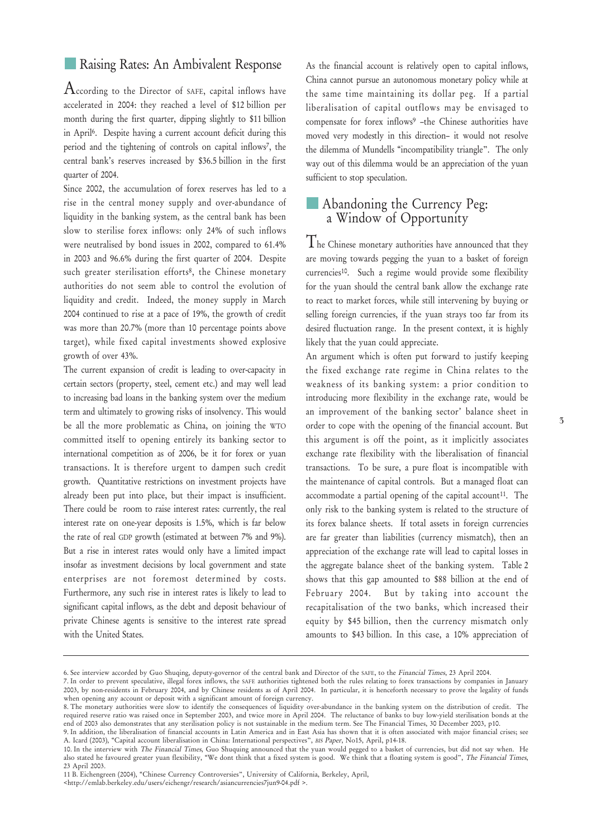#### Raising Rates: An Ambivalent Response

 $\rm A$ ccording to the Director of SAFE, capital inflows have accelerated in 2004: they reached a level of \$12 billion per month during the first quarter, dipping slightly to \$11 billion in April6. Despite having a current account deficit during this period and the tightening of controls on capital inflows7, the central bank's reserves increased by \$36.5 billion in the first quarter of 2004.

Since 2002, the accumulation of forex reserves has led to a rise in the central money supply and over-abundance of liquidity in the banking system, as the central bank has been slow to sterilise forex inflows: only 24% of such inflows were neutralised by bond issues in 2002, compared to 61.4% in 2003 and 96.6% during the first quarter of 2004. Despite such greater sterilisation efforts8, the Chinese monetary authorities do not seem able to control the evolution of liquidity and credit. Indeed, the money supply in March 2004 continued to rise at a pace of 19%, the growth of credit was more than 20.7% (more than 10 percentage points above target), while fixed capital investments showed explosive growth of over 43%.

The current expansion of credit is leading to over-capacity in certain sectors (property, steel, cement etc.) and may well lead to increasing bad loans in the banking system over the medium term and ultimately to growing risks of insolvency. This would be all the more problematic as China, on joining the WTO committed itself to opening entirely its banking sector to international competition as of 2006, be it for forex or yuan transactions. It is therefore urgent to dampen such credit growth. Quantitative restrictions on investment projects have already been put into place, but their impact is insufficient. There could be room to raise interest rates: currently, the real interest rate on one-year deposits is 1.5%, which is far below the rate of real GDP growth (estimated at between 7% and 9%). But a rise in interest rates would only have a limited impact insofar as investment decisions by local government and state enterprises are not foremost determined by costs. Furthermore, any such rise in interest rates is likely to lead to significant capital inflows, as the debt and deposit behaviour of private Chinese agents is sensitive to the interest rate spread with the United States.

As the financial account is relatively open to capital inflows, China cannot pursue an autonomous monetary policy while at the same time maintaining its dollar peg. If a partial liberalisation of capital outflows may be envisaged to compensate for forex inflows<sup>9</sup> -the Chinese authorities have moved very modestly in this direction– it would not resolve the dilemma of Mundells "incompatibility triangle". The only way out of this dilemma would be an appreciation of the yuan sufficient to stop speculation.

#### Abandoning the Currency Peg: a Window of Opportunity

 $T$ he Chinese monetary authorities have announced that they are moving towards pegging the yuan to a basket of foreign currencies10. Such a regime would provide some flexibility for the yuan should the central bank allow the exchange rate to react to market forces, while still intervening by buying or selling foreign currencies, if the yuan strays too far from its desired fluctuation range. In the present context, it is highly likely that the yuan could appreciate.

An argument which is often put forward to justify keeping the fixed exchange rate regime in China relates to the weakness of its banking system: a prior condition to introducing more flexibility in the exchange rate, would be an improvement of the banking sector' balance sheet in order to cope with the opening of the financial account. But this argument is off the point, as it implicitly associates exchange rate flexibility with the liberalisation of financial transactions. To be sure, a pure float is incompatible with the maintenance of capital controls. But a managed float can accommodate a partial opening of the capital account<sup>11</sup>. The only risk to the banking system is related to the structure of its forex balance sheets. If total assets in foreign currencies are far greater than liabilities (currency mismatch), then an appreciation of the exchange rate will lead to capital losses in the aggregate balance sheet of the banking system. Table 2 shows that this gap amounted to \$88 billion at the end of February 2004. But by taking into account the recapitalisation of the two banks, which increased their equity by \$45 billion, then the currency mismatch only amounts to \$43 billion. In this case, a 10% appreciation of

<sup>6.</sup> See interview accorded by Guo Shuqing, deputy-governor of the central bank and Director of the SAFE, to the Financial Times, 23 April 2004.

<sup>7.</sup> In order to prevent speculative, illegal forex inflows, the SAFE authorities tightened both the rules relating to forex transactions by companies in January 2003, by non-residents in February 2004, and by Chinese residents as of April 2004. In particular, it is henceforth necessary to prove the legality of funds when opening any account or deposit with a significant amount of foreign currency.

<sup>8.</sup> The monetary authorities were slow to identify the consequences of liquidity over-abundance in the banking system on the distribution of credit. The required reserve ratio was raised once in September 2003, and twice more in April 2004. The reluctance of banks to buy low-yield sterilisation bonds at the end of 2003 also demonstrates that any sterilisation policy is not sustainable in the medium term. See The Financial Times, 30 December 2003, p10.

<sup>9.</sup> In addition, the liberalisation of financial accounts in Latin America and in East Asia has shown that it is often associated with major financial crises; see A. Icard (2003), "Capital account liberalisation in China: International perspectives", BIS Paper, No15, April, p14-18.

<sup>10.</sup> In the interview with *The Financial Times*, Guo Shuquing announced that the yuan would pegged to a basket of currencies, but did not say when. He also stated he favoured greater yuan flexibility, "We dont think that a fixed system is good. We think that a floating system is good", *The Financial Times*, 23 April 2003.

<sup>11</sup> B. Eichengreen (2004), "Chinese Currency Controversies", University of California, Berkeley, April,

<sup>&</sup>lt;http://emlab.berkeley.edu/users/eichengr/research/asiancurrencies7jun9-04.pdf >.